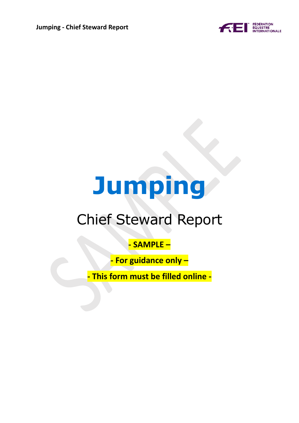

# **Jumping**

# Chief Steward Report

### **- SAMPLE –**

**- For guidance only –**

**- This form must be filled online -**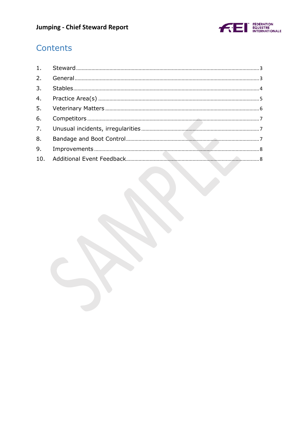

## Contents

| 9. |  |
|----|--|
|    |  |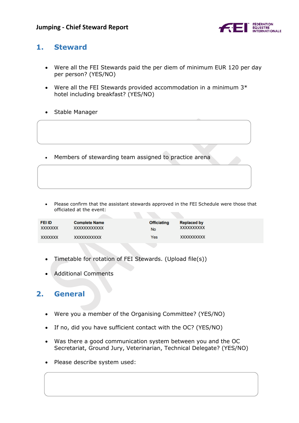

#### <span id="page-2-0"></span>**1. Steward**

- Were all the FEI Stewards paid the per diem of minimum EUR 120 per day per person? (YES/NO)
- Were all the FEI Stewards provided accommodation in a minimum  $3*$ hotel including breakfast? (YES/NO)
- Stable Manager
- Members of stewarding team assigned to practice arena
- Please confirm that the assistant stewards approved in the FEI Schedule were those that officiated at the event:

| <b>FEI ID</b> | <b>Complete Name</b> | <b>Officiating</b> | <b>Replaced by</b> |
|---------------|----------------------|--------------------|--------------------|
| XXXXXXX       | XXXXXXXXXXXX         | <b>No</b>          | XXXXXXXXXX         |
| XXXXXXX       | XXXXXXXXXXX          | Yes                | XXXXXXXXXX         |

- Timetable for rotation of FEI Stewards. (Upload file(s))
- Additional Comments

#### <span id="page-2-1"></span>**2. General**

- Were you a member of the Organising Committee? (YES/NO)
- If no, did you have sufficient contact with the OC? (YES/NO)
- Was there a good communication system between you and the OC Secretariat, Ground Jury, Veterinarian, Technical Delegate? (YES/NO)
- Please describe system used: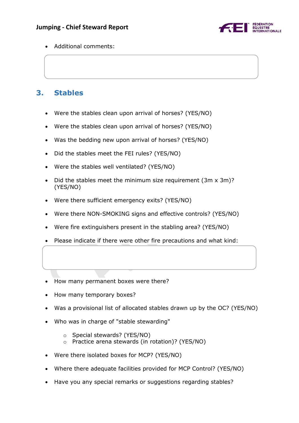

Additional comments:

#### <span id="page-3-0"></span>**3. Stables**

- Were the stables clean upon arrival of horses? (YES/NO)
- Were the stables clean upon arrival of horses? (YES/NO)
- Was the bedding new upon arrival of horses? (YES/NO)
- Did the stables meet the FEI rules? (YES/NO)
- Were the stables well ventilated? (YES/NO)
- Did the stables meet the minimum size requirement (3m x 3m)? (YES/NO)
- Were there sufficient emergency exits? (YES/NO)
- Were there NON-SMOKING signs and effective controls? (YES/NO)
- Were fire extinguishers present in the stabling area? (YES/NO)
- Please indicate if there were other fire precautions and what kind:
- How many permanent boxes were there?
- How many temporary boxes?
- Was a provisional list of allocated stables drawn up by the OC? (YES/NO)
- Who was in charge of "stable stewarding"
	- o Special stewards? (YES/NO)
	- o Practice arena stewards (in rotation)? (YES/NO)
- Were there isolated boxes for MCP? (YES/NO)
- Where there adequate facilities provided for MCP Control? (YES/NO)
- Have you any special remarks or suggestions regarding stables?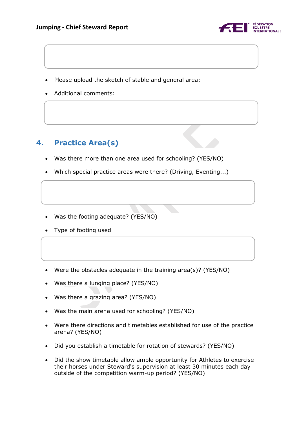

- Please upload the sketch of stable and general area:
- Additional comments:

#### <span id="page-4-0"></span>**4. Practice Area(s)**

- Was there more than one area used for schooling? (YES/NO)
- Which special practice areas were there? (Driving, Eventing...)
- Was the footing adequate? (YES/NO)
- Type of footing used
- Were the obstacles adequate in the training area(s)? (YES/NO)
- Was there a lunging place? (YES/NO)
- Was there a grazing area? (YES/NO)
- Was the main arena used for schooling? (YES/NO)
- Were there directions and timetables established for use of the practice arena? (YES/NO)
- Did you establish a timetable for rotation of stewards? (YES/NO)
- Did the show timetable allow ample opportunity for Athletes to exercise their horses under Steward's supervision at least 30 minutes each day outside of the competition warm-up period? (YES/NO)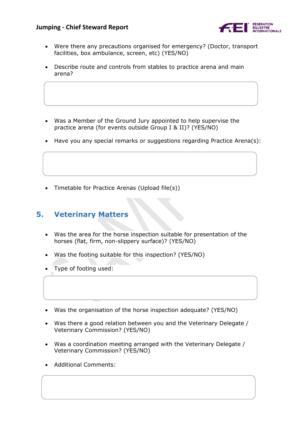

- Were there any precautions organised for emergency? (Doctor, transport facilities, box ambulance, screen, etc) (YES/NO)
- Describe route and controls from stables to practice arena and main arena?
- Was a Member of the Ground Jury appointed to help supervise the practice arena (for events outside Group I & II)? (YES/NO)
- Have you any special remarks or suggestions regarding Practice Arena(s):
- Timetable for Practice Arenas (Upload file(s))

#### <span id="page-5-0"></span>**5. Veterinary Matters**

- Was the area for the horse inspection suitable for presentation of the horses (flat, firm, non-slippery surface)? (YES/NO)
- Was the footing suitable for this inspection? (YES/NO)
- Type of footing used:
- Was the organisation of the horse inspection adequate? (YES/NO)
- Was there a good relation between you and the Veterinary Delegate / Veterinary Commission? (YES/NO)
- Was a coordination meeting arranged with the Veterinary Delegate / Veterinary Commission? (YES/NO)
- Additional Comments: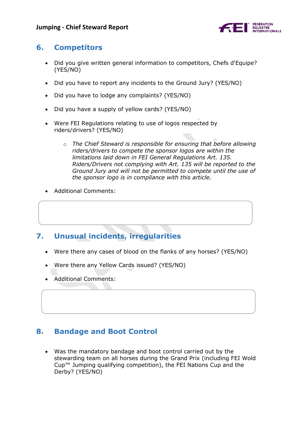

#### <span id="page-6-0"></span>**6. Competitors**

- Did you give written general information to competitors, Chefs d'Equipe? (YES/NO)
- Did you have to report any incidents to the Ground Jury? (YES/NO)
- Did you have to lodge any complaints? (YES/NO)
- Did you have a supply of yellow cards? (YES/NO)
- Were FEI Regulations relating to use of logos respected by riders/drivers? (YES/NO)
	- o *The Chief Steward is responsible for ensuring that before allowing riders/drivers to compete the sponsor logos are within the limitations laid down in FEI General Regulations Art. 135. Riders/Drivers not complying with Art. 135 will be reported to the Ground Jury and will not be permitted to compete until the use of the sponsor logo is in compliance with this article.*
- Additional Comments:

#### <span id="page-6-1"></span>**7. Unusual incidents, irregularities**

- Were there any cases of blood on the flanks of any horses? (YES/NO)
- Were there any Yellow Cards issued? (YES/NO)
- Additional Comments:

#### <span id="page-6-2"></span>**8. Bandage and Boot Control**

 Was the mandatory bandage and boot control carried out by the stewarding team on all horses during the Grand Prix (including FEI Wold Cup™ Jumping qualifying competition), the FEI Nations Cup and the Derby? (YES/NO)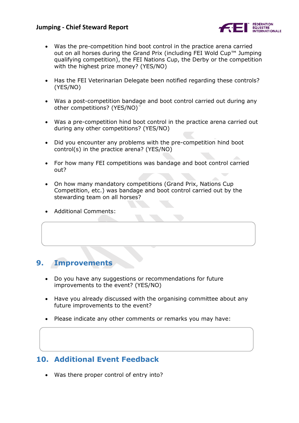

- Was the pre-competition hind boot control in the practice arena carried out on all horses during the Grand Prix (including FEI Wold Cup™ Jumping qualifying competition), the FEI Nations Cup, the Derby or the competition with the highest prize money? (YES/NO)
- Has the FEI Veterinarian Delegate been notified regarding these controls? (YES/NO)
- Was a post-competition bandage and boot control carried out during any other competitions? (YES/NO)¨
- Was a pre-competition hind boot control in the practice arena carried out during any other competitions? (YES/NO)
- Did you encounter any problems with the pre-competition hind boot control(s) in the practice arena? (YES/NO)
- For how many FEI competitions was bandage and boot control carried out?
- On how many mandatory competitions (Grand Prix, Nations Cup Competition, etc.) was bandage and boot control carried out by the stewarding team on all horses?
- Additional Comments:

#### <span id="page-7-0"></span>**9. Improvements**

- Do you have any suggestions or recommendations for future improvements to the event? (YES/NO)
- Have you already discussed with the organising committee about any future improvements to the event?
- Please indicate any other comments or remarks you may have:

#### <span id="page-7-1"></span>**10. Additional Event Feedback**

Was there proper control of entry into?